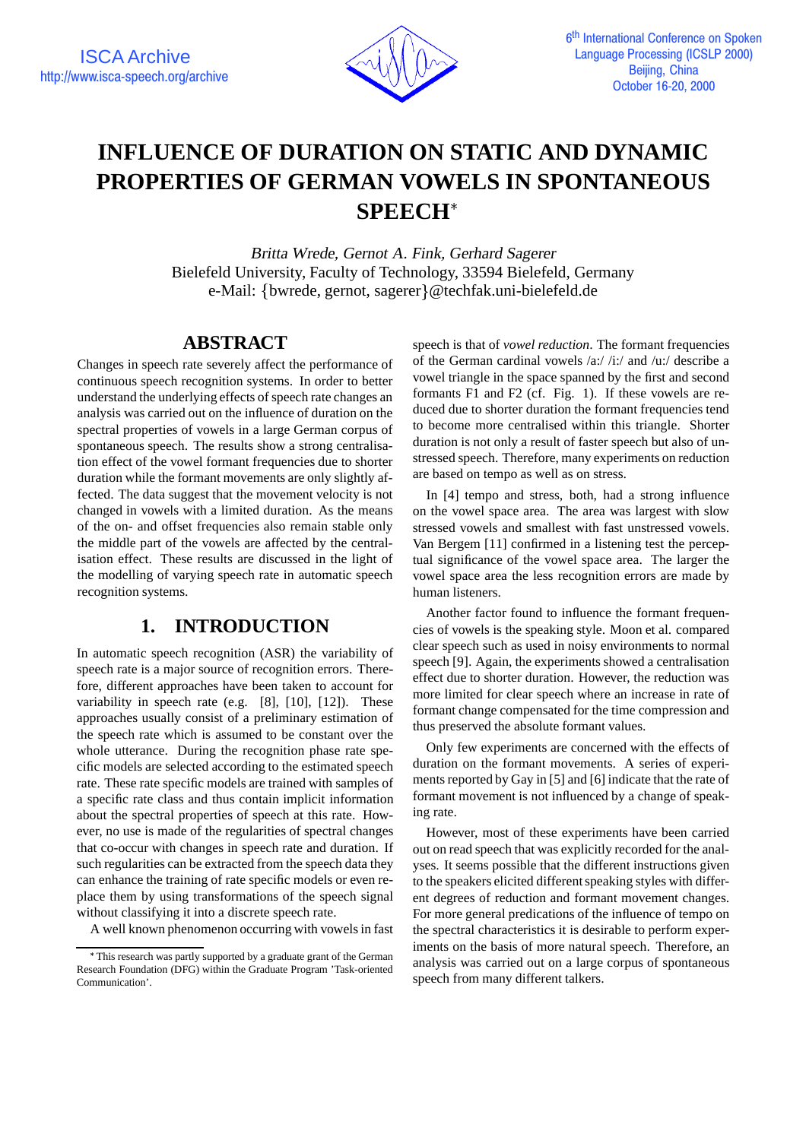

# **INFLUENCE OF DURATION ON STATIC AND DYNAMIC PROPERTIES OF GERMAN VOWELS IN SPONTANEOUS SPEECH**

Britta Wrede, Gernot A. Fink, Gerhard Sagerer Bielefeld University, Faculty of Technology, 33594 Bielefeld, Germany e-Mail: {bwrede, gernot, sagerer}@techfak.uni-bielefeld.de

## **ABSTRACT**

Changes in speech rate severely affect the performance of continuous speech recognition systems. In order to better understand the underlying effects of speech rate changes an analysis was carried out on the influence of duration on the spectral properties of vowels in a large German corpus of spontaneous speech. The results show a strong centralisation effect of the vowel formant frequencies due to shorter duration while the formant movements are only slightly affected. The data suggest that the movement velocity is not changed in vowels with a limited duration. As the means of the on- and offset frequencies also remain stable only the middle part of the vowels are affected by the centralisation effect. These results are discussed in the light of the modelling of varying speech rate in automatic speech recognition systems.

## **1. INTRODUCTION**

In automatic speech recognition (ASR) the variability of speech rate is a major source of recognition errors. Therefore, different approaches have been taken to account for variability in speech rate (e.g. [8], [10], [12]). These approaches usually consist of a preliminary estimation of the speech rate which is assumed to be constant over the whole utterance. During the recognition phase rate specific models are selected according to the estimated speech rate. These rate specific models are trained with samples of a specific rate class and thus contain implicit information about the spectral properties of speech at this rate. However, no use is made of the regularities of spectral changes that co-occur with changes in speech rate and duration. If such regularities can be extracted from the speech data they can enhance the training of rate specific models or even replace them by using transformations of the speech signal without classifying it into a discrete speech rate.

A well known phenomenon occurring with vowelsin fast

speech is that of *vowel reduction*. The formant frequencies of the German cardinal vowels /a:/ /i:/ and /u:/ describe a vowel triangle in the space spanned by the first and second formants F1 and F2 (cf. Fig. 1). If these vowels are reduced due to shorter duration the formant frequencies tend to become more centralised within this triangle. Shorter duration is not only a result of faster speech but also of unstressed speech. Therefore, many experiments on reduction are based on tempo as well as on stress.

In [4] tempo and stress, both, had a strong influence on the vowel space area. The area was largest with slow stressed vowels and smallest with fast unstressed vowels. Van Bergem [11] confirmed in a listening test the perceptual significance of the vowel space area. The larger the vowel space area the less recognition errors are made by human listeners.

Another factor found to influence the formant frequencies of vowels is the speaking style. Moon et al. compared clear speech such as used in noisy environments to normal speech [9]. Again, the experiments showed a centralisation effect due to shorter duration. However, the reduction was more limited for clear speech where an increase in rate of formant change compensated for the time compression and thus preserved the absolute formant values.

Only few experiments are concerned with the effects of duration on the formant movements. A series of experiments reported by Gay in [5] and [6] indicate that the rate of formant movement is not influenced by a change of speaking rate.

However, most of these experiments have been carried out on read speech that was explicitly recorded for the analyses. It seems possible that the different instructions given to the speakers elicited different speaking styles with different degrees of reduction and formant movement changes. For more general predications of the influence of tempo on the spectral characteristics it is desirable to perform experiments on the basis of more natural speech. Therefore, an analysis was carried out on a large corpus of spontaneous speech from many different talkers.

This research was partly supported by a graduate grant of the German Research Foundation (DFG) within the Graduate Program 'Task-oriented Communication'.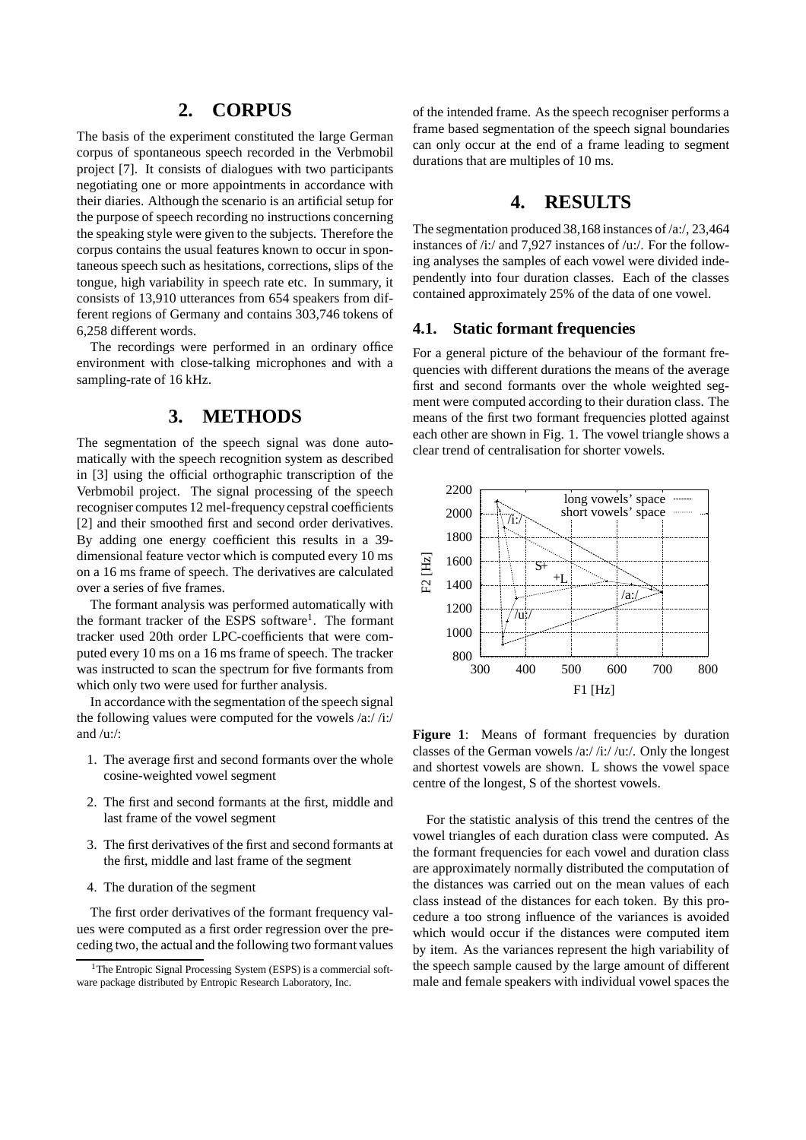## **2. CORPUS**

The basis of the experiment constituted the large German corpus of spontaneous speech recorded in the Verbmobil project [7]. It consists of dialogues with two participants negotiating one or more appointments in accordance with their diaries. Although the scenario is an artificial setup for the purpose of speech recording no instructions concerning the speaking style were given to the subjects. Therefore the corpus contains the usual features known to occur in spontaneous speech such as hesitations, corrections, slips of the tongue, high variability in speech rate etc. In summary, it consists of 13,910 utterances from 654 speakers from different regions of Germany and contains 303,746 tokens of 6,258 different words.

The recordings were performed in an ordinary office environment with close-talking microphones and with a sampling-rate of 16 kHz.

## **3. METHODS**

The segmentation of the speech signal was done automatically with the speech recognition system as described in [3] using the official orthographic transcription of the Verbmobil project. The signal processing of the speech recogniser computes 12 mel-frequency cepstral coefficients [2] and their smoothed first and second order derivatives. By adding one energy coefficient this results in a 39 dimensional feature vector which is computed every 10 ms on a 16 ms frame of speech. The derivatives are calculated over a series of five frames.

The formant analysis was performed automatically with the formant tracker of the ESPS software<sup>1</sup>. The formant tracker used 20th order LPC-coefficients that were computed every 10 ms on a 16 ms frame of speech. The tracker was instructed to scan the spectrum for five formants from which only two were used for further analysis.

In accordance with the segmentation of the speech signal the following values were computed for the vowels /a:/ /i:/ and  $/u$ :/:

- 1. The average first and second formants over the whole cosine-weighted vowel segment
- 2. The first and second formants at the first, middle and last frame of the vowel segment
- 3. The first derivatives of the first and second formants at the first, middle and last frame of the segment
- 4. The duration of the segment

The first order derivatives of the formant frequency values were computed as a first order regression over the preceding two, the actual and the following two formant values of the intended frame. As the speech recogniser performs a frame based segmentation of the speech signal boundaries can only occur at the end of a frame leading to segment durations that are multiples of 10 ms.

## **4. RESULTS**

The segmentation produced 38,168 instances of /a:/, 23,464 instances of /i:/ and 7,927 instances of /u:/. For the following analyses the samples of each vowel were divided independently into four duration classes. Each of the classes contained approximately 25% of the data of one vowel.

#### **4.1. Static formant frequencies**

For a general picture of the behaviour of the formant frequencies with different durations the means of the average first and second formants over the whole weighted segment were computed according to their duration class. The means of the first two formant frequencies plotted against each other are shown in Fig. 1. The vowel triangle shows a clear trend of centralisation for shorter vowels.



Figure 1: Means of formant frequencies by duration classes of the German vowels /a:/ /i:/ /u:/. Only the longest and shortest vowels are shown. L shows the vowel space centre of the longest, S of the shortest vowels.

For the statistic analysis of this trend the centres of the vowel triangles of each duration class were computed. As the formant frequencies for each vowel and duration class are approximately normally distributed the computation of the distances was carried out on the mean values of each class instead of the distances for each token. By this procedure a too strong influence of the variances is avoided which would occur if the distances were computed item by item. As the variances represent the high variability of the speech sample caused by the large amount of different male and female speakers with individual vowel spaces the

<sup>&</sup>lt;sup>1</sup>The Entropic Signal Processing System (ESPS) is a commercial software package distributed by Entropic Research Laboratory, Inc.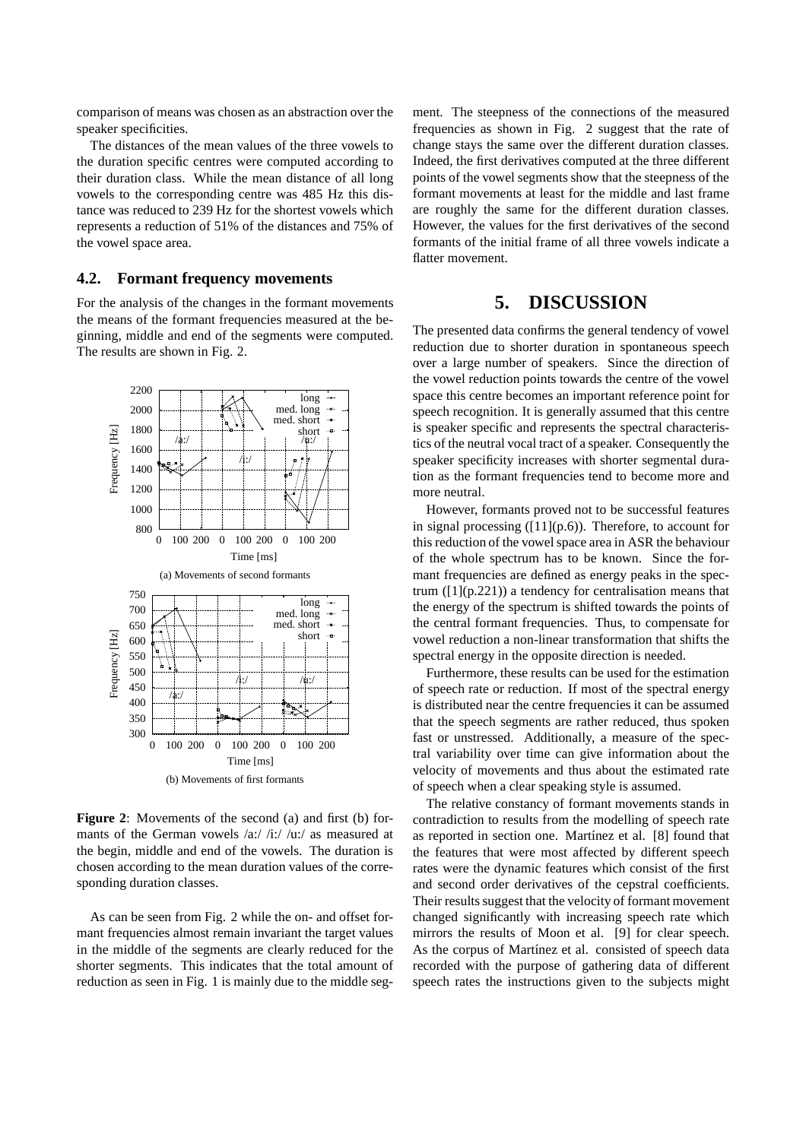comparison of means was chosen as an abstraction over the speaker specificities.

The distances of the mean values of the three vowels to the duration specific centres were computed according to their duration class. While the mean distance of all long vowels to the corresponding centre was 485 Hz this distance was reduced to 239 Hz for the shortest vowels which represents a reduction of 51% of the distances and 75% of the vowel space area.

#### **4.2. Formant frequency movements**

For the analysis of the changes in the formant movements the means of the formant frequencies measured at the beginning, middle and end of the segments were computed. The results are shown in Fig. 2.



**Figure 2**: Movements of the second (a) and first (b) formants of the German vowels /a:/ /i:/ /u:/ as measured at the begin, middle and end of the vowels. The duration is chosen according to the mean duration values of the corresponding duration classes.

As can be seen from Fig. 2 while the on- and offset formant frequencies almost remain invariant the target values in the middle of the segments are clearly reduced for the shorter segments. This indicates that the total amount of reduction as seen in Fig. 1 is mainly due to the middle segment. The steepness of the connections of the measured frequencies as shown in Fig. 2 suggest that the rate of change stays the same over the different duration classes. Indeed, the first derivatives computed at the three different points of the vowel segments show that the steepness of the formant movements at least for the middle and last frame are roughly the same for the different duration classes. However, the values for the first derivatives of the second formants of the initial frame of all three vowels indicate a flatter movement.

## **5. DISCUSSION**

The presented data confirms the general tendency of vowel reduction due to shorter duration in spontaneous speech over a large number of speakers. Since the direction of the vowel reduction points towards the centre of the vowel space this centre becomes an important reference point for speech recognition. It is generally assumed that this centre is speaker specific and represents the spectral characteristics of the neutral vocal tract of a speaker. Consequently the speaker specificity increases with shorter segmental duration as the formant frequencies tend to become more and more neutral.

However, formants proved not to be successful features in signal processing  $([11](p.6))$ . Therefore, to account for this reduction of the vowel space area in ASR the behaviour of the whole spectrum has to be known. Since the formant frequencies are defined as energy peaks in the spectrum  $(11(p.221))$  a tendency for centralisation means that the energy of the spectrum is shifted towards the points of the central formant frequencies. Thus, to compensate for vowel reduction a non-linear transformation that shifts the spectral energy in the opposite direction is needed.

Furthermore, these results can be used for the estimation of speech rate or reduction. If most of the spectral energy is distributed near the centre frequencies it can be assumed that the speech segments are rather reduced, thus spoken fast or unstressed. Additionally, a measure of the spectral variability over time can give information about the velocity of movements and thus about the estimated rate of speech when a clear speaking style is assumed.

The relative constancy of formant movements stands in contradiction to results from the modelling of speech rate as reported in section one. Martínez et al. [8] found that the features that were most affected by different speech rates were the dynamic features which consist of the first and second order derivatives of the cepstral coefficients. Their results suggest that the velocity of formant movement changed significantly with increasing speech rate which mirrors the results of Moon et al. [9] for clear speech. As the corpus of Martínez et al. consisted of speech data recorded with the purpose of gathering data of different speech rates the instructions given to the subjects might